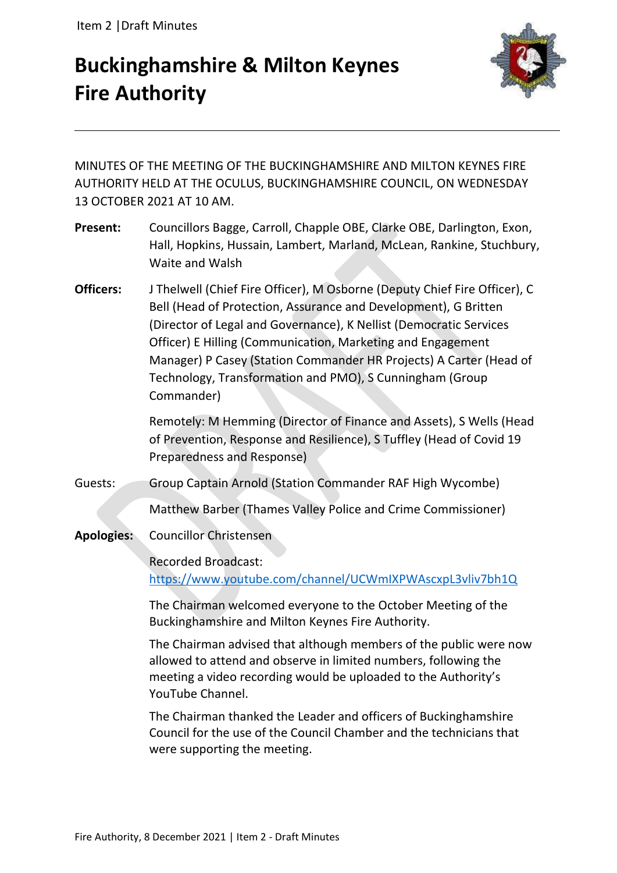# **Buckinghamshire & Milton Keynes Fire Authority**



MINUTES OF THE MEETING OF THE BUCKINGHAMSHIRE AND MILTON KEYNES FIRE AUTHORITY HELD AT THE OCULUS, BUCKINGHAMSHIRE COUNCIL, ON WEDNESDAY 13 OCTOBER 2021 AT 10 AM.

- **Present:** Councillors Bagge, Carroll, Chapple OBE, Clarke OBE, Darlington, Exon, Hall, Hopkins, Hussain, Lambert, Marland, McLean, Rankine, Stuchbury, Waite and Walsh
- **Officers:** J Thelwell (Chief Fire Officer), M Osborne (Deputy Chief Fire Officer), C Bell (Head of Protection, Assurance and Development), G Britten (Director of Legal and Governance), K Nellist (Democratic Services Officer) E Hilling (Communication, Marketing and Engagement Manager) P Casey (Station Commander HR Projects) A Carter (Head of Technology, Transformation and PMO), S Cunningham (Group Commander)

Remotely: M Hemming (Director of Finance and Assets), S Wells (Head of Prevention, Response and Resilience), S Tuffley (Head of Covid 19 Preparedness and Response)

Guests: Group Captain Arnold (Station Commander RAF High Wycombe)

Matthew Barber (Thames Valley Police and Crime Commissioner)

**Apologies:** Councillor Christensen

Recorded Broadcast:

<https://www.youtube.com/channel/UCWmIXPWAscxpL3vliv7bh1Q>

The Chairman welcomed everyone to the October Meeting of the Buckinghamshire and Milton Keynes Fire Authority.

The Chairman advised that although members of the public were now allowed to attend and observe in limited numbers, following the meeting a video recording would be uploaded to the Authority's YouTube Channel.

The Chairman thanked the Leader and officers of Buckinghamshire Council for the use of the Council Chamber and the technicians that were supporting the meeting.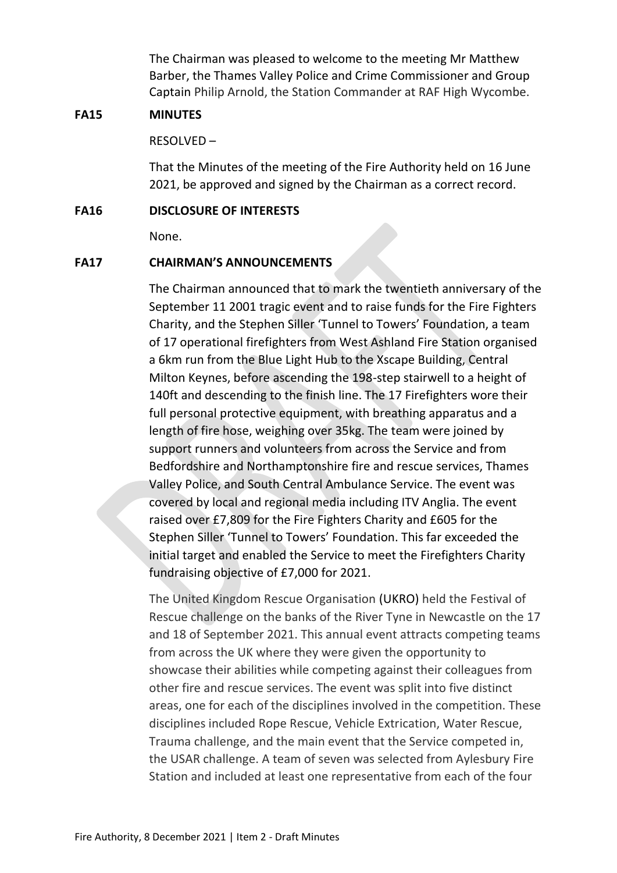The Chairman was pleased to welcome to the meeting Mr Matthew Barber, the Thames Valley Police and Crime Commissioner and Group Captain Philip Arnold, the Station Commander at RAF High Wycombe.

## **FA15 MINUTES**

RESOLVED –

That the Minutes of the meeting of the Fire Authority held on 16 June 2021, be approved and signed by the Chairman as a correct record.

## **FA16 DISCLOSURE OF INTERESTS**

None.

## **FA17 CHAIRMAN'S ANNOUNCEMENTS**

The Chairman announced that to mark the twentieth anniversary of the September 11 2001 tragic event and to raise funds for the Fire Fighters Charity, and the Stephen Siller 'Tunnel to Towers' Foundation, a team of 17 operational firefighters from West Ashland Fire Station organised a 6km run from the Blue Light Hub to the Xscape Building, Central Milton Keynes, before ascending the 198-step stairwell to a height of 140ft and descending to the finish line. The 17 Firefighters wore their full personal protective equipment, with breathing apparatus and a length of fire hose, weighing over 35kg. The team were joined by support runners and volunteers from across the Service and from Bedfordshire and Northamptonshire fire and rescue services, Thames Valley Police, and South Central Ambulance Service. The event was covered by local and regional media including ITV Anglia. The event raised over £7,809 for the Fire Fighters Charity and £605 for the Stephen Siller 'Tunnel to Towers' Foundation. This far exceeded the initial target and enabled the Service to meet the Firefighters Charity fundraising objective of £7,000 for 2021.

The United Kingdom Rescue Organisation (UKRO) held the Festival of Rescue challenge on the banks of the River Tyne in Newcastle on the 17 and 18 of September 2021. This annual event attracts competing teams from across the UK where they were given the opportunity to showcase their abilities while competing against their colleagues from other fire and rescue services. The event was split into five distinct areas, one for each of the disciplines involved in the competition. These disciplines included Rope Rescue, Vehicle Extrication, Water Rescue, Trauma challenge, and the main event that the Service competed in, the USAR challenge. A team of seven was selected from Aylesbury Fire Station and included at least one representative from each of the four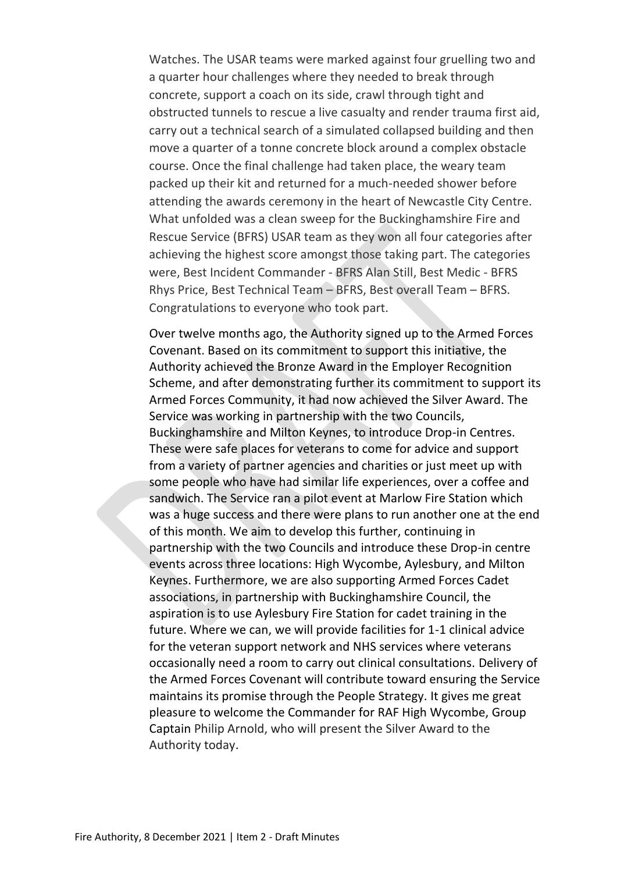Watches. The USAR teams were marked against four gruelling two and a quarter hour challenges where they needed to break through concrete, support a coach on its side, crawl through tight and obstructed tunnels to rescue a live casualty and render trauma first aid, carry out a technical search of a simulated collapsed building and then move a quarter of a tonne concrete block around a complex obstacle course. Once the final challenge had taken place, the weary team packed up their kit and returned for a much-needed shower before attending the awards ceremony in the heart of Newcastle City Centre. What unfolded was a clean sweep for the Buckinghamshire Fire and Rescue Service (BFRS) USAR team as they won all four categories after achieving the highest score amongst those taking part. The categories were, Best Incident Commander - BFRS Alan Still, Best Medic - BFRS Rhys Price, Best Technical Team – BFRS, Best overall Team – BFRS. Congratulations to everyone who took part.

Over twelve months ago, the Authority signed up to the Armed Forces Covenant. Based on its commitment to support this initiative, the Authority achieved the Bronze Award in the Employer Recognition Scheme, and after demonstrating further its commitment to support its Armed Forces Community, it had now achieved the Silver Award. The Service was working in partnership with the two Councils, Buckinghamshire and Milton Keynes, to introduce Drop-in Centres. These were safe places for veterans to come for advice and support from a variety of partner agencies and charities or just meet up with some people who have had similar life experiences, over a coffee and sandwich. The Service ran a pilot event at Marlow Fire Station which was a huge success and there were plans to run another one at the end of this month. We aim to develop this further, continuing in partnership with the two Councils and introduce these Drop-in centre events across three locations: High Wycombe, Aylesbury, and Milton Keynes. Furthermore, we are also supporting Armed Forces Cadet associations, in partnership with Buckinghamshire Council, the aspiration is to use Aylesbury Fire Station for cadet training in the future. Where we can, we will provide facilities for 1-1 clinical advice for the veteran support network and NHS services where veterans occasionally need a room to carry out clinical consultations. Delivery of the Armed Forces Covenant will contribute toward ensuring the Service maintains its promise through the People Strategy. It gives me great pleasure to welcome the Commander for RAF High Wycombe, Group Captain Philip Arnold, who will present the Silver Award to the Authority today.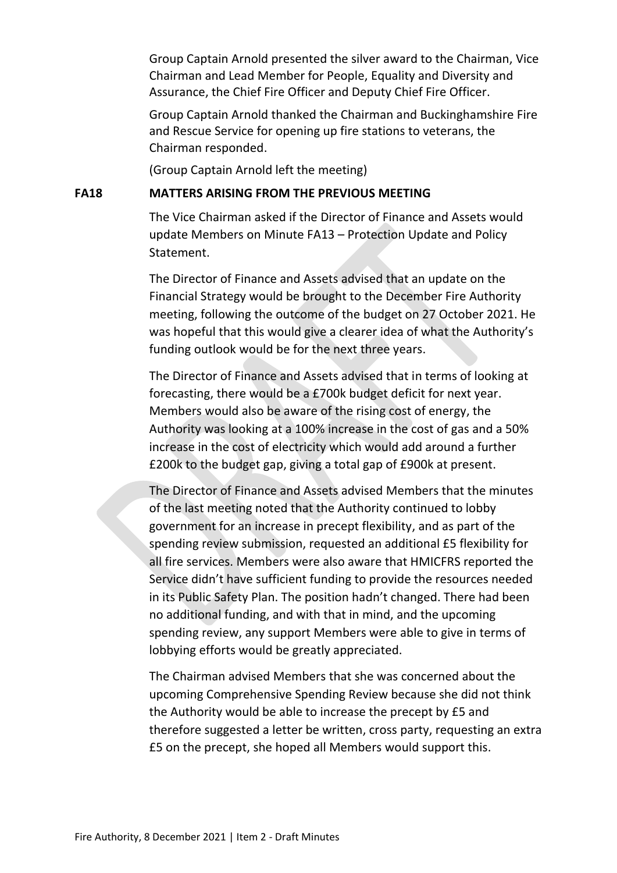Group Captain Arnold presented the silver award to the Chairman, Vice Chairman and Lead Member for People, Equality and Diversity and Assurance, the Chief Fire Officer and Deputy Chief Fire Officer.

Group Captain Arnold thanked the Chairman and Buckinghamshire Fire and Rescue Service for opening up fire stations to veterans, the Chairman responded.

(Group Captain Arnold left the meeting)

### **FA18 MATTERS ARISING FROM THE PREVIOUS MEETING**

The Vice Chairman asked if the Director of Finance and Assets would update Members on Minute FA13 – Protection Update and Policy Statement.

The Director of Finance and Assets advised that an update on the Financial Strategy would be brought to the December Fire Authority meeting, following the outcome of the budget on 27 October 2021. He was hopeful that this would give a clearer idea of what the Authority's funding outlook would be for the next three years.

The Director of Finance and Assets advised that in terms of looking at forecasting, there would be a £700k budget deficit for next year. Members would also be aware of the rising cost of energy, the Authority was looking at a 100% increase in the cost of gas and a 50% increase in the cost of electricity which would add around a further £200k to the budget gap, giving a total gap of £900k at present.

The Director of Finance and Assets advised Members that the minutes of the last meeting noted that the Authority continued to lobby government for an increase in precept flexibility, and as part of the spending review submission, requested an additional £5 flexibility for all fire services. Members were also aware that HMICFRS reported the Service didn't have sufficient funding to provide the resources needed in its Public Safety Plan. The position hadn't changed. There had been no additional funding, and with that in mind, and the upcoming spending review, any support Members were able to give in terms of lobbying efforts would be greatly appreciated.

The Chairman advised Members that she was concerned about the upcoming Comprehensive Spending Review because she did not think the Authority would be able to increase the precept by £5 and therefore suggested a letter be written, cross party, requesting an extra £5 on the precept, she hoped all Members would support this.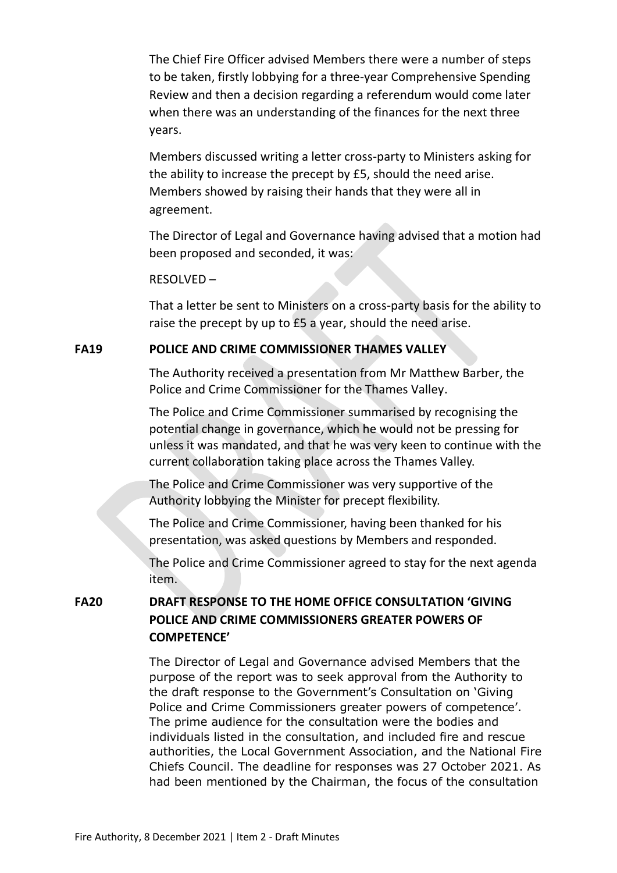The Chief Fire Officer advised Members there were a number of steps to be taken, firstly lobbying for a three-year Comprehensive Spending Review and then a decision regarding a referendum would come later when there was an understanding of the finances for the next three years.

Members discussed writing a letter cross-party to Ministers asking for the ability to increase the precept by £5, should the need arise. Members showed by raising their hands that they were all in agreement.

The Director of Legal and Governance having advised that a motion had been proposed and seconded, it was:

#### RESOLVED –

That a letter be sent to Ministers on a cross-party basis for the ability to raise the precept by up to £5 a year, should the need arise.

### **FA19 POLICE AND CRIME COMMISSIONER THAMES VALLEY**

The Authority received a presentation from Mr Matthew Barber, the Police and Crime Commissioner for the Thames Valley.

The Police and Crime Commissioner summarised by recognising the potential change in governance, which he would not be pressing for unless it was mandated, and that he was very keen to continue with the current collaboration taking place across the Thames Valley.

The Police and Crime Commissioner was very supportive of the Authority lobbying the Minister for precept flexibility.

The Police and Crime Commissioner, having been thanked for his presentation, was asked questions by Members and responded.

The Police and Crime Commissioner agreed to stay for the next agenda item.

**FA20 DRAFT RESPONSE TO THE HOME OFFICE CONSULTATION 'GIVING POLICE AND CRIME COMMISSIONERS GREATER POWERS OF COMPETENCE'**

> The Director of Legal and Governance advised Members that the purpose of the report was to seek approval from the Authority to the draft response to the Government's Consultation on 'Giving Police and Crime Commissioners greater powers of competence'. The prime audience for the consultation were the bodies and individuals listed in the consultation, and included fire and rescue authorities, the Local Government Association, and the National Fire Chiefs Council. The deadline for responses was 27 October 2021. As had been mentioned by the Chairman, the focus of the consultation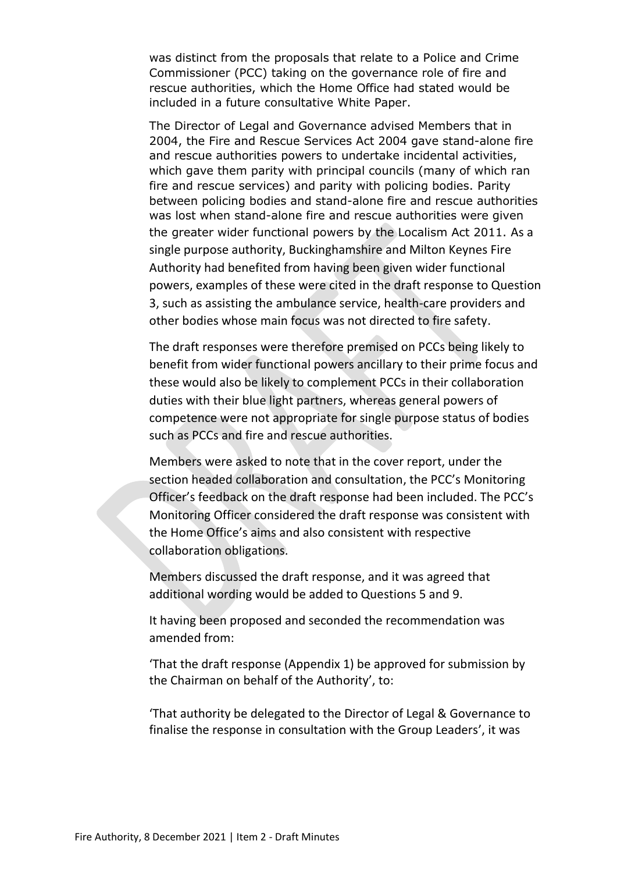was distinct from the proposals that relate to a Police and Crime Commissioner (PCC) taking on the governance role of fire and rescue authorities, which the Home Office had stated would be included in a future consultative White Paper.

The Director of Legal and Governance advised Members that in 2004, the Fire and Rescue Services Act 2004 gave stand-alone fire and rescue authorities powers to undertake incidental activities, which gave them parity with principal councils (many of which ran fire and rescue services) and parity with policing bodies. Parity between policing bodies and stand-alone fire and rescue authorities was lost when stand-alone fire and rescue authorities were given the greater wider functional powers by the Localism Act 2011. As a single purpose authority, Buckinghamshire and Milton Keynes Fire Authority had benefited from having been given wider functional powers, examples of these were cited in the draft response to Question 3, such as assisting the ambulance service, health-care providers and other bodies whose main focus was not directed to fire safety.

The draft responses were therefore premised on PCCs being likely to benefit from wider functional powers ancillary to their prime focus and these would also be likely to complement PCCs in their collaboration duties with their blue light partners, whereas general powers of competence were not appropriate for single purpose status of bodies such as PCCs and fire and rescue authorities.

Members were asked to note that in the cover report, under the section headed collaboration and consultation, the PCC's Monitoring Officer's feedback on the draft response had been included. The PCC's Monitoring Officer considered the draft response was consistent with the Home Office's aims and also consistent with respective collaboration obligations.

Members discussed the draft response, and it was agreed that additional wording would be added to Questions 5 and 9.

It having been proposed and seconded the recommendation was amended from:

'That the draft response (Appendix 1) be approved for submission by the Chairman on behalf of the Authority', to:

'That authority be delegated to the Director of Legal & Governance to finalise the response in consultation with the Group Leaders', it was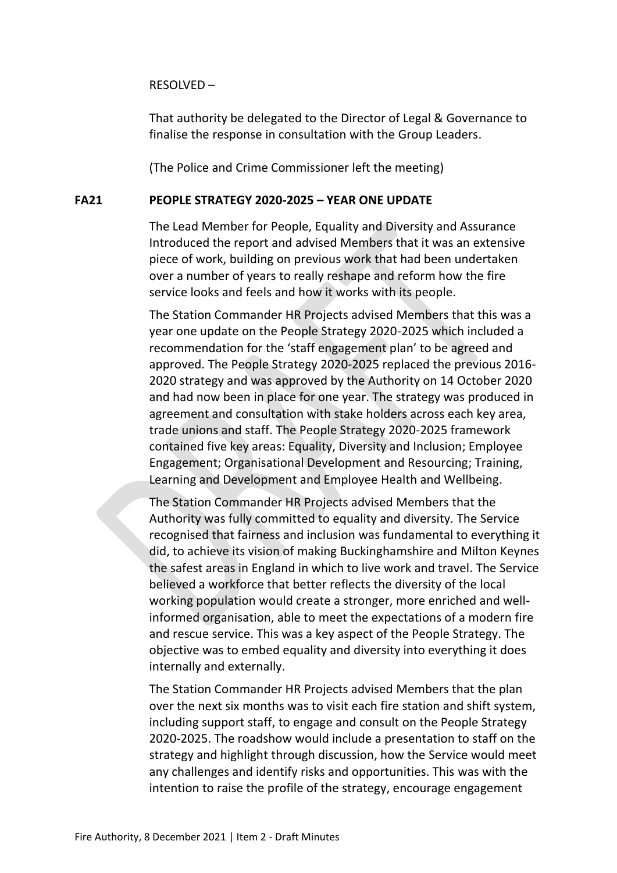#### RESOLVED –

That authority be delegated to the Director of Legal & Governance to finalise the response in consultation with the Group Leaders.

(The Police and Crime Commissioner left the meeting)

### **FA21 PEOPLE STRATEGY 2020-2025 – YEAR ONE UPDATE**

The Lead Member for People, Equality and Diversity and Assurance Introduced the report and advised Members that it was an extensive piece of work, building on previous work that had been undertaken over a number of years to really reshape and reform how the fire service looks and feels and how it works with its people.

The Station Commander HR Projects advised Members that this was a year one update on the People Strategy 2020-2025 which included a recommendation for the 'staff engagement plan' to be agreed and approved. The People Strategy 2020-2025 replaced the previous 2016- 2020 strategy and was approved by the Authority on 14 October 2020 and had now been in place for one year. The strategy was produced in agreement and consultation with stake holders across each key area, trade unions and staff. The People Strategy 2020-2025 framework contained five key areas: Equality, Diversity and Inclusion; Employee Engagement; Organisational Development and Resourcing; Training, Learning and Development and Employee Health and Wellbeing.

The Station Commander HR Projects advised Members that the Authority was fully committed to equality and diversity. The Service recognised that fairness and inclusion was fundamental to everything it did, to achieve its vision of making Buckinghamshire and Milton Keynes the safest areas in England in which to live work and travel. The Service believed a workforce that better reflects the diversity of the local working population would create a stronger, more enriched and wellinformed organisation, able to meet the expectations of a modern fire and rescue service. This was a key aspect of the People Strategy. The objective was to embed equality and diversity into everything it does internally and externally.

The Station Commander HR Projects advised Members that the plan over the next six months was to visit each fire station and shift system, including support staff, to engage and consult on the People Strategy 2020-2025. The roadshow would include a presentation to staff on the strategy and highlight through discussion, how the Service would meet any challenges and identify risks and opportunities. This was with the intention to raise the profile of the strategy, encourage engagement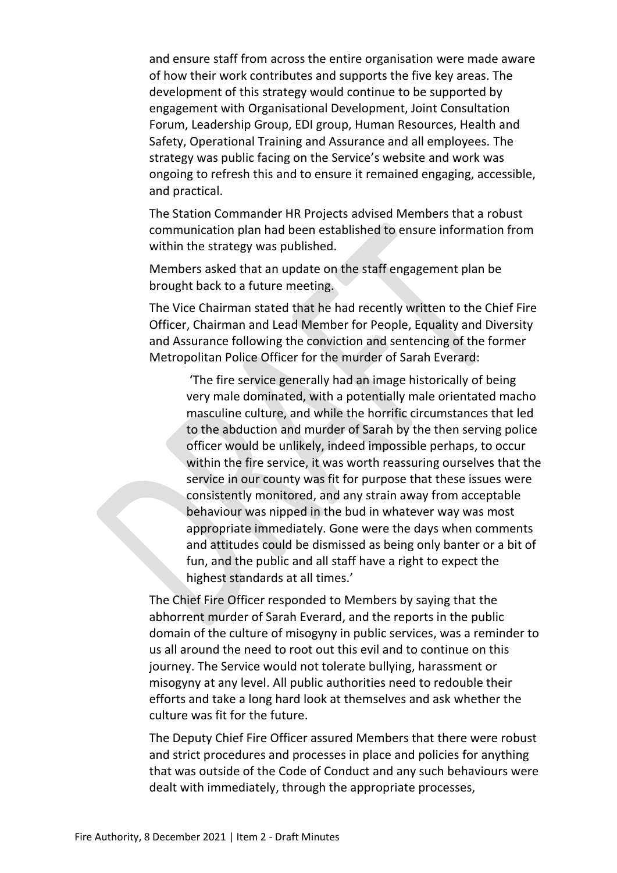and ensure staff from across the entire organisation were made aware of how their work contributes and supports the five key areas. The development of this strategy would continue to be supported by engagement with Organisational Development, Joint Consultation Forum, Leadership Group, EDI group, Human Resources, Health and Safety, Operational Training and Assurance and all employees. The strategy was public facing on the Service's website and work was ongoing to refresh this and to ensure it remained engaging, accessible, and practical.

The Station Commander HR Projects advised Members that a robust communication plan had been established to ensure information from within the strategy was published.

Members asked that an update on the staff engagement plan be brought back to a future meeting.

The Vice Chairman stated that he had recently written to the Chief Fire Officer, Chairman and Lead Member for People, Equality and Diversity and Assurance following the conviction and sentencing of the former Metropolitan Police Officer for the murder of Sarah Everard:

'The fire service generally had an image historically of being very male dominated, with a potentially male orientated macho masculine culture, and while the horrific circumstances that led to the abduction and murder of Sarah by the then serving police officer would be unlikely, indeed impossible perhaps, to occur within the fire service, it was worth reassuring ourselves that the service in our county was fit for purpose that these issues were consistently monitored, and any strain away from acceptable behaviour was nipped in the bud in whatever way was most appropriate immediately. Gone were the days when comments and attitudes could be dismissed as being only banter or a bit of fun, and the public and all staff have a right to expect the highest standards at all times.'

The Chief Fire Officer responded to Members by saying that the abhorrent murder of Sarah Everard, and the reports in the public domain of the culture of misogyny in public services, was a reminder to us all around the need to root out this evil and to continue on this journey. The Service would not tolerate bullying, harassment or misogyny at any level. All public authorities need to redouble their efforts and take a long hard look at themselves and ask whether the culture was fit for the future.

The Deputy Chief Fire Officer assured Members that there were robust and strict procedures and processes in place and policies for anything that was outside of the Code of Conduct and any such behaviours were dealt with immediately, through the appropriate processes,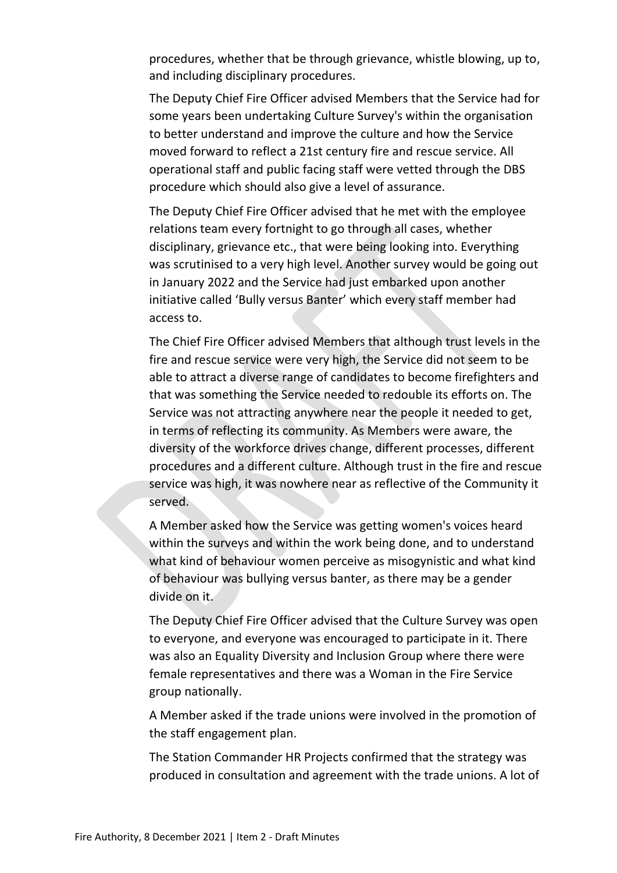procedures, whether that be through grievance, whistle blowing, up to, and including disciplinary procedures.

The Deputy Chief Fire Officer advised Members that the Service had for some years been undertaking Culture Survey's within the organisation to better understand and improve the culture and how the Service moved forward to reflect a 21st century fire and rescue service. All operational staff and public facing staff were vetted through the DBS procedure which should also give a level of assurance.

The Deputy Chief Fire Officer advised that he met with the employee relations team every fortnight to go through all cases, whether disciplinary, grievance etc., that were being looking into. Everything was scrutinised to a very high level. Another survey would be going out in January 2022 and the Service had just embarked upon another initiative called 'Bully versus Banter' which every staff member had access to.

The Chief Fire Officer advised Members that although trust levels in the fire and rescue service were very high, the Service did not seem to be able to attract a diverse range of candidates to become firefighters and that was something the Service needed to redouble its efforts on. The Service was not attracting anywhere near the people it needed to get, in terms of reflecting its community. As Members were aware, the diversity of the workforce drives change, different processes, different procedures and a different culture. Although trust in the fire and rescue service was high, it was nowhere near as reflective of the Community it served.

A Member asked how the Service was getting women's voices heard within the surveys and within the work being done, and to understand what kind of behaviour women perceive as misogynistic and what kind of behaviour was bullying versus banter, as there may be a gender divide on it.

The Deputy Chief Fire Officer advised that the Culture Survey was open to everyone, and everyone was encouraged to participate in it. There was also an Equality Diversity and Inclusion Group where there were female representatives and there was a Woman in the Fire Service group nationally.

A Member asked if the trade unions were involved in the promotion of the staff engagement plan.

The Station Commander HR Projects confirmed that the strategy was produced in consultation and agreement with the trade unions. A lot of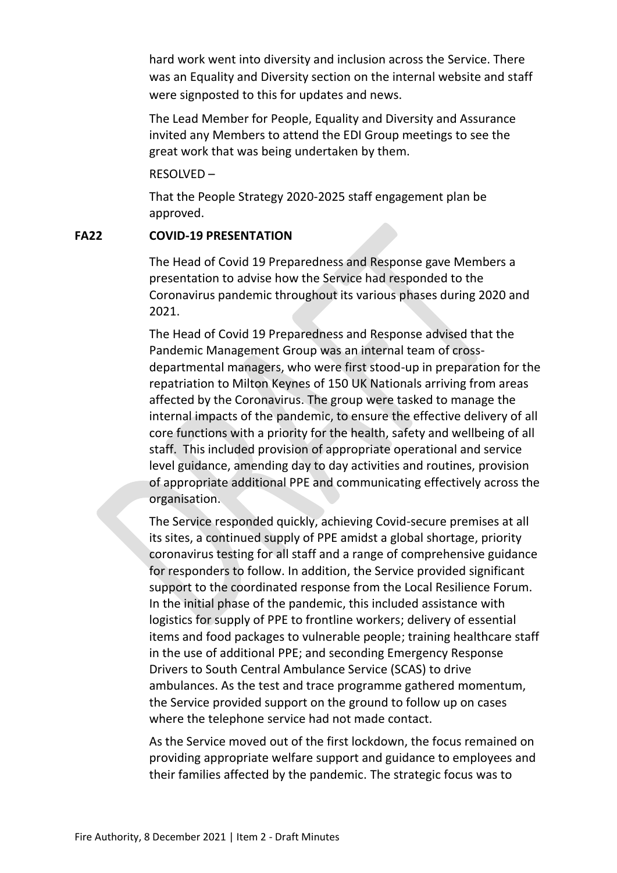hard work went into diversity and inclusion across the Service. There was an Equality and Diversity section on the internal website and staff were signposted to this for updates and news.

The Lead Member for People, Equality and Diversity and Assurance invited any Members to attend the EDI Group meetings to see the great work that was being undertaken by them.

RESOLVED –

That the People Strategy 2020-2025 staff engagement plan be approved.

## **FA22 COVID-19 PRESENTATION**

The Head of Covid 19 Preparedness and Response gave Members a presentation to advise how the Service had responded to the Coronavirus pandemic throughout its various phases during 2020 and 2021.

The Head of Covid 19 Preparedness and Response advised that the Pandemic Management Group was an internal team of crossdepartmental managers, who were first stood-up in preparation for the repatriation to Milton Keynes of 150 UK Nationals arriving from areas affected by the Coronavirus. The group were tasked to manage the internal impacts of the pandemic, to ensure the effective delivery of all core functions with a priority for the health, safety and wellbeing of all staff. This included provision of appropriate operational and service level guidance, amending day to day activities and routines, provision of appropriate additional PPE and communicating effectively across the organisation.

The Service responded quickly, achieving Covid-secure premises at all its sites, a continued supply of PPE amidst a global shortage, priority coronavirus testing for all staff and a range of comprehensive guidance for responders to follow. In addition, the Service provided significant support to the coordinated response from the Local Resilience Forum. In the initial phase of the pandemic, this included assistance with logistics for supply of PPE to frontline workers; delivery of essential items and food packages to vulnerable people; training healthcare staff in the use of additional PPE; and seconding Emergency Response Drivers to South Central Ambulance Service (SCAS) to drive ambulances. As the test and trace programme gathered momentum, the Service provided support on the ground to follow up on cases where the telephone service had not made contact.

As the Service moved out of the first lockdown, the focus remained on providing appropriate welfare support and guidance to employees and their families affected by the pandemic. The strategic focus was to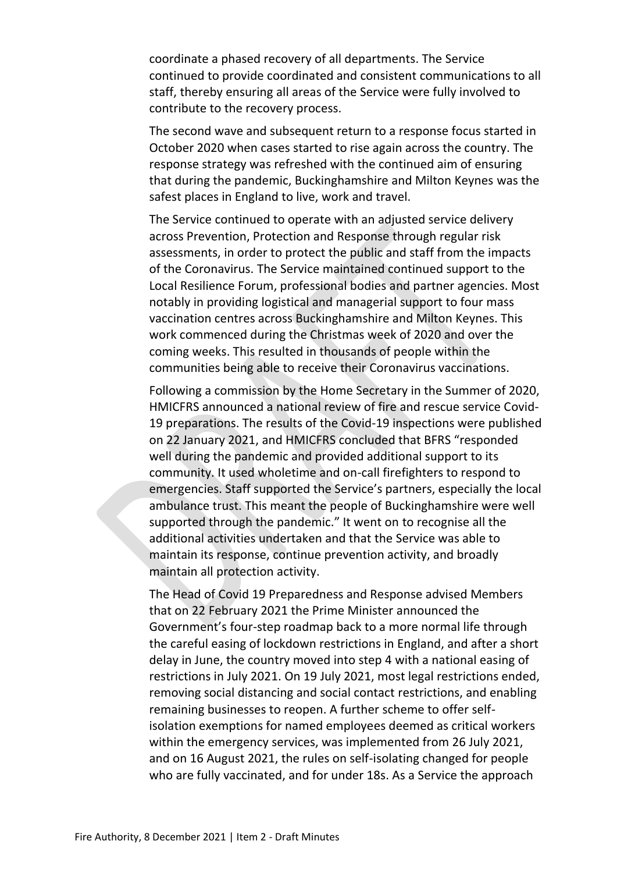coordinate a phased recovery of all departments. The Service continued to provide coordinated and consistent communications to all staff, thereby ensuring all areas of the Service were fully involved to contribute to the recovery process.

The second wave and subsequent return to a response focus started in October 2020 when cases started to rise again across the country. The response strategy was refreshed with the continued aim of ensuring that during the pandemic, Buckinghamshire and Milton Keynes was the safest places in England to live, work and travel.

The Service continued to operate with an adjusted service delivery across Prevention, Protection and Response through regular risk assessments, in order to protect the public and staff from the impacts of the Coronavirus. The Service maintained continued support to the Local Resilience Forum, professional bodies and partner agencies. Most notably in providing logistical and managerial support to four mass vaccination centres across Buckinghamshire and Milton Keynes. This work commenced during the Christmas week of 2020 and over the coming weeks. This resulted in thousands of people within the communities being able to receive their Coronavirus vaccinations.

Following a commission by the Home Secretary in the Summer of 2020, HMICFRS announced a national review of fire and rescue service Covid-19 preparations. The results of the Covid-19 inspections were published on 22 January 2021, and HMICFRS concluded that BFRS "responded well during the pandemic and provided additional support to its community. It used wholetime and on-call firefighters to respond to emergencies. Staff supported the Service's partners, especially the local ambulance trust. This meant the people of Buckinghamshire were well supported through the pandemic." It went on to recognise all the additional activities undertaken and that the Service was able to maintain its response, continue prevention activity, and broadly maintain all protection activity.

The Head of Covid 19 Preparedness and Response advised Members that on 22 February 2021 the Prime Minister announced the Government's four-step roadmap back to a more normal life through the careful easing of lockdown restrictions in England, and after a short delay in June, the country moved into step 4 with a national easing of restrictions in July 2021. On 19 July 2021, most legal restrictions ended, removing social distancing and social contact restrictions, and enabling remaining businesses to reopen. A further scheme to offer selfisolation exemptions for named employees deemed as critical workers within the emergency services, was implemented from 26 July 2021, and on 16 August 2021, the rules on self-isolating changed for people who are fully vaccinated, and for under 18s. As a Service the approach